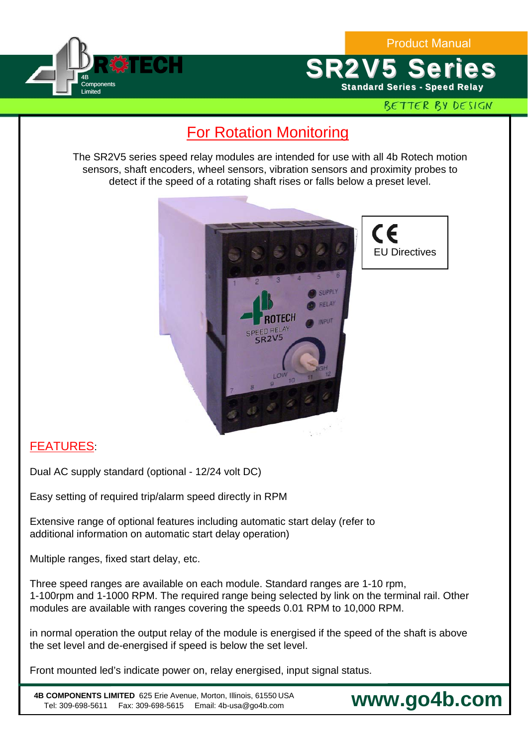Product Manual



**SR2V5 Series Standard Series - Speed Relay** 

## BETTER BY DESIGN

## For Rotation Monitoring

The SR2V5 series speed relay modules are intended for use with all 4b Rotech motion sensors, shaft encoders, wheel sensors, vibration sensors and proximity probes to detect if the speed of a rotating shaft rises or falls below a preset level.



CE EU Directives

## FEATURES:

Dual AC supply standard (optional - 12/24 volt DC)

Easy setting of required trip/alarm speed directly in RPM

Extensive range of optional features including automatic start delay (refer to additional information on automatic start delay operation)

Multiple ranges, fixed start delay, etc.

Three speed ranges are available on each module. Standard ranges are 1-10 rpm, 1-100rpm and 1-1000 RPM. The required range being selected by link on the terminal rail. Other modules are available with ranges covering the speeds 0.01 RPM to 10,000 RPM.

in normal operation the output relay of the module is energised if the speed of the shaft is above the set level and de-energised if speed is below the set level.

Front mounted led's indicate power on, relay energised, input signal status.

**4B COMPONENTS LIMITED** 625 Erie Avenue, Morton, Illinois, 61550 USA Tel: 309-698-5611 Fax: 309-698-5615 Email: 4b-usa@go4b.com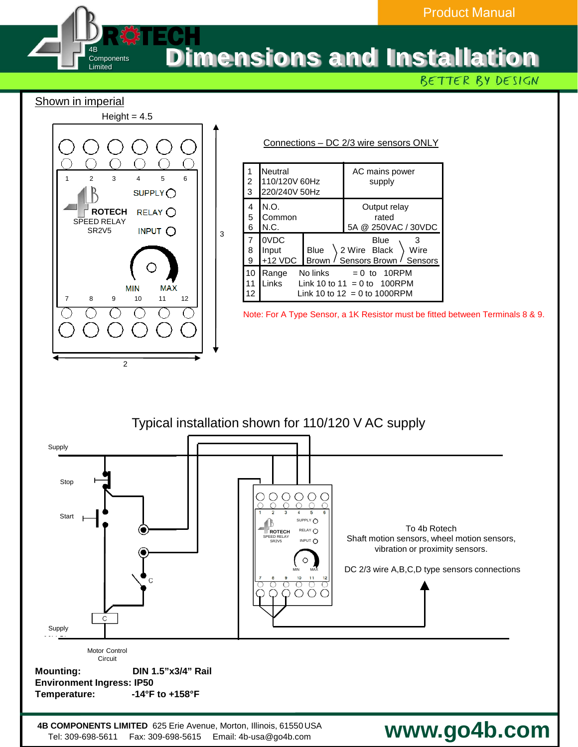## Dimensions and Installation R©TECH

BETTER BY DESIGN

Shown in imperial

4B **Components** Limited



3

| Connections – DC 2/3 wire sensors ONLY |                     |                                                                                                             |             |                                                                  |
|----------------------------------------|---------------------|-------------------------------------------------------------------------------------------------------------|-------------|------------------------------------------------------------------|
|                                        | $\overline{c}$<br>3 | Neutral<br>110/120V 60Hz<br>220/240V 50Hz                                                                   |             | AC mains power<br>supply                                         |
|                                        | 4<br>5<br>6         | N.O.<br>Common<br>N.C.                                                                                      |             | Output relay<br>rated<br>5A @ 250VAC / 30VDC                     |
|                                        | 7<br>8<br>9         | 0VDC<br>Input<br>+12 VDC                                                                                    | <b>Blue</b> | Blue<br>2 Wire Black<br>Wire<br>Brown / Sensors Brown<br>Sensors |
|                                        | 10<br>11<br>12      | No links<br>$= 0$ to 10RPM<br>Range<br>Links<br>Link 10 to 11 = 0 to 100RPM<br>Link 10 to 12 = 0 to 1000RPM |             |                                                                  |

Note: For A Type Sensor, a 1K Resistor must be fitted between Terminals 8 & 9.



**4B COMPONENTS LIMITED** 625 Erie Avenue, Morton, Illinois, 61550 USA Tel: 309-698-5611 Fax: 309-698-5615 Email: 4b-usa@go4b.com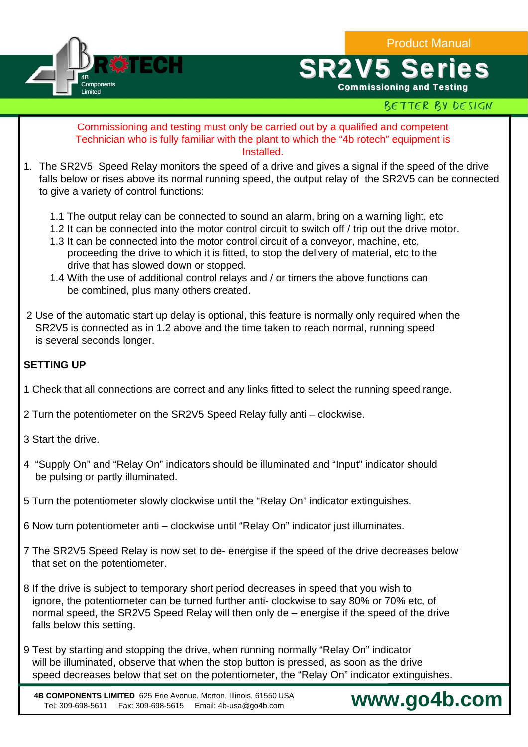Product Manual



# **SR2V5 Ser**

Commissioning and Testing

## BETTER BY DESIGN

#### Commissioning and testing must only be carried out by a qualified and competent Technician who is fully familiar with the plant to which the "4b rotech" equipment is Installed.

- 1. The SR2V5 Speed Relay monitors the speed of a drive and gives a signal if the speed of the drive falls below or rises above its normal running speed, the output relay of the SR2V5 can be connected to give a variety of control functions:
	- 1.1 The output relay can be connected to sound an alarm, bring on a warning light, etc
	- 1.2 It can be connected into the motor control circuit to switch off / trip out the drive motor.
	- 1.3 It can be connected into the motor control circuit of a conveyor, machine, etc, proceeding the drive to which it is fitted, to stop the delivery of material, etc to the drive that has slowed down or stopped.
	- 1.4 With the use of additional control relays and / or timers the above functions can be combined, plus many others created.
- 2 Use of the automatic start up delay is optional, this feature is normally only required when the SR2V5 is connected as in 1.2 above and the time taken to reach normal, running speed is several seconds longer.

#### **SETTING UP**

- 1 Check that all connections are correct and any links fitted to select the running speed range.
- 2 Turn the potentiometer on the SR2V5 Speed Relay fully anti clockwise.
- 3 Start the drive.
- 4 "Supply On" and "Relay On" indicators should be illuminated and "Input" indicator should be pulsing or partly illuminated.
- 5 Turn the potentiometer slowly clockwise until the "Relay On" indicator extinguishes.
- 6 Now turn potentiometer anti clockwise until "Relay On" indicator just illuminates.
- 7 The SR2V5 Speed Relay is now set to de- energise if the speed of the drive decreases below that set on the potentiometer.
- 8 If the drive is subject to temporary short period decreases in speed that you wish to ignore, the potentiometer can be turned further anti- clockwise to say 80% or 70% etc, of normal speed, the SR2V5 Speed Relay will then only de – energise if the speed of the drive falls below this setting.
- 9 Test by starting and stopping the drive, when running normally "Relay On" indicator will be illuminated, observe that when the stop button is pressed, as soon as the drive speed decreases below that set on the potentiometer, the "Relay On" indicator extinguishes.